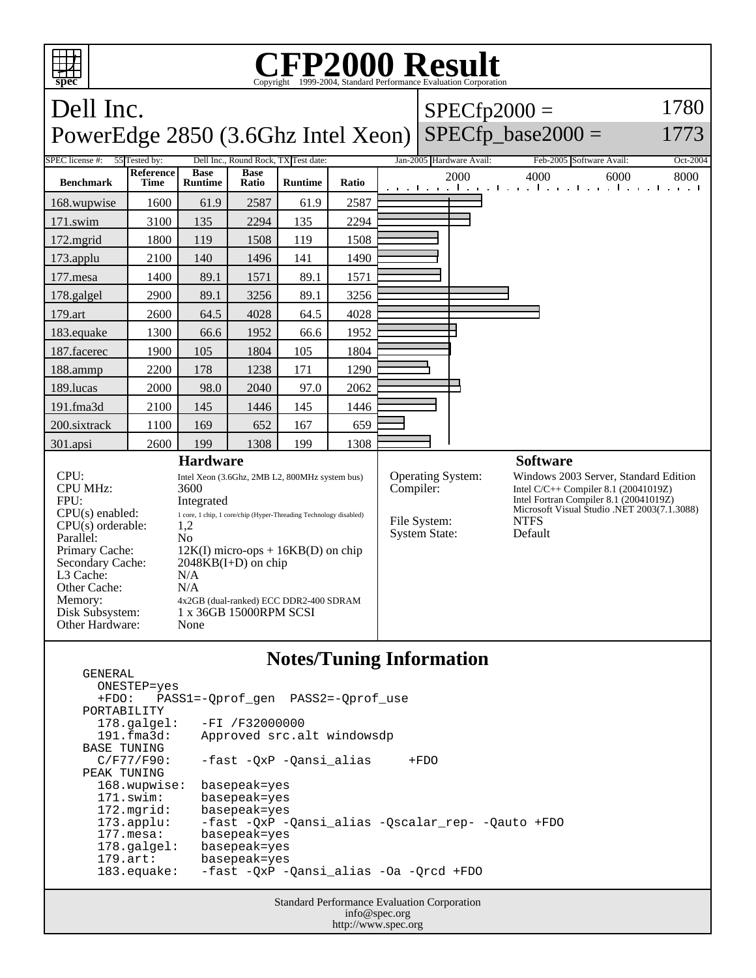

## **Notes/Tuning Information**

 ONESTEP=yes +FDO: PASS1=-Qprof\_gen PASS2=-Qprof\_use PORTABILITY<br>178.galgel: -FI /F32000000 191.fma3d: Approved src.alt windowsdp BASE TUNING<br>C/F77/F90: -fast -QxP -Qansi\_alias +FDO PEAK TUNING 168.wupwise: basepeak=yes 171.swim: basepeak=yes 172.mgrid: basepeak=yes<br>173.applu: -fast -QxP - 173.applu: -fast -QxP -Qansi\_alias -Qscalar\_rep- -Qauto +FDO basepeak=yes 178.galgel: basepeak=yes 179.art: basepeak=yes 183.equake: -fast -QxP -Qansi\_alias -Oa -Qrcd +FDO

GENERAL

Standard Performance Evaluation Corporation info@spec.org http://www.spec.org